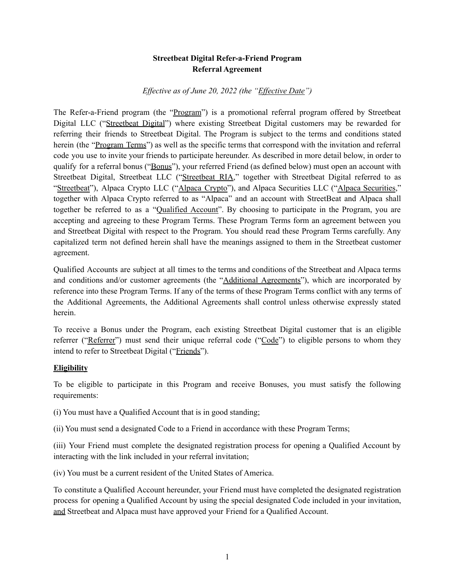# **Streetbeat Digital Refer-a-Friend Program Referral Agreement**

#### *Ef ective as of June 20, 2022 (the "Ef ective Date")*

The Refer-a-Friend program (the "Program") is a promotional referral program offered by Streetbeat Digital LLC ("Streetbeat Digital") where existing Streetbeat Digital customers may be rewarded for referring their friends to Streetbeat Digital. The Program is subject to the terms and conditions stated herein (the "Program Terms") as well as the specific terms that correspond with the invitation and referral code you use to invite your friends to participate hereunder. As described in more detail below, in order to qualify for a referral bonus ("Bonus"), your referred Friend (as defined below) must open an account with Streetbeat Digital, Streetbeat LLC ("Streetbeat RIA," together with Streetbeat Digital referred to as "Streetbeat"), Alpaca Crypto LLC ("Alpaca Crypto"), and Alpaca Securities LLC ("Alpaca Securities," together with Alpaca Crypto referred to as "Alpaca" and an account with StreetBeat and Alpaca shall together be referred to as a "Qualified Account". By choosing to participate in the Program, you are accepting and agreeing to these Program Terms. These Program Terms form an agreement between you and Streetbeat Digital with respect to the Program. You should read these Program Terms carefully. Any capitalized term not defined herein shall have the meanings assigned to them in the Streetbeat customer agreement.

Qualified Accounts are subject at all times to the terms and conditions of the Streetbeat and Alpaca terms and conditions and/or customer agreements (the "Additional Agreements"), which are incorporated by reference into these Program Terms. If any of the terms of these Program Terms conflict with any terms of the Additional Agreements, the Additional Agreements shall control unless otherwise expressly stated herein.

To receive a Bonus under the Program, each existing Streetbeat Digital customer that is an eligible referrer ("Referrer") must send their unique referral code ("Code") to eligible persons to whom they intend to refer to Streetbeat Digital ("Friends").

#### **Eligibility**

To be eligible to participate in this Program and receive Bonuses, you must satisfy the following requirements:

- (i) You must have a Qualified Account that is in good standing;
- (ii) You must send a designated Code to a Friend in accordance with these Program Terms;

(iii) Your Friend must complete the designated registration process for opening a Qualified Account by interacting with the link included in your referral invitation;

(iv) You must be a current resident of the United States of America.

To constitute a Qualified Account hereunder, your Friend must have completed the designated registration process for opening a Qualified Account by using the special designated Code included in your invitation, and Streetbeat and Alpaca must have approved your Friend for a Qualified Account.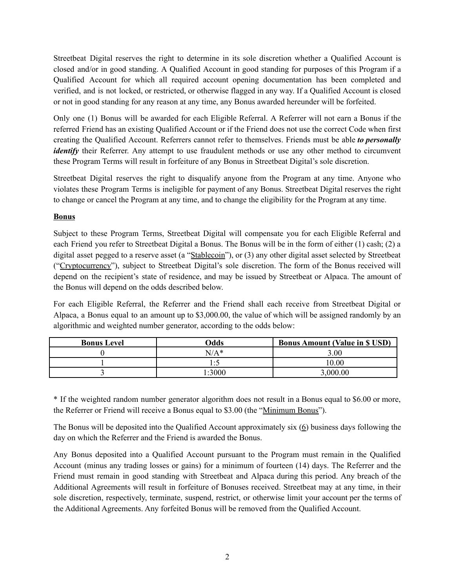Streetbeat Digital reserves the right to determine in its sole discretion whether a Qualified Account is closed and/or in good standing. A Qualified Account in good standing for purposes of this Program if a Qualified Account for which all required account opening documentation has been completed and verified, and is not locked, or restricted, or otherwise flagged in any way. If a Qualified Account is closed or not in good standing for any reason at any time, any Bonus awarded hereunder will be forfeited.

Only one (1) Bonus will be awarded for each Eligible Referral. A Referrer will not earn a Bonus if the referred Friend has an existing Qualified Account or if the Friend does not use the correct Code when first creating the Qualified Account. Referrers cannot refer to themselves. Friends must be able *to personally identify* their Referrer. Any attempt to use fraudulent methods or use any other method to circumvent these Program Terms will result in forfeiture of any Bonus in Streetbeat Digital's sole discretion.

Streetbeat Digital reserves the right to disqualify anyone from the Program at any time. Anyone who violates these Program Terms is ineligible for payment of any Bonus. Streetbeat Digital reserves the right to change or cancel the Program at any time, and to change the eligibility for the Program at any time.

# **Bonus**

Subject to these Program Terms, Streetbeat Digital will compensate you for each Eligible Referral and each Friend you refer to Streetbeat Digital a Bonus. The Bonus will be in the form of either (1) cash; (2) a digital asset pegged to a reserve asset (a "Stablecoin"), or (3) any other digital asset selected by Streetbeat ("Cryptocurrency"), subject to Streetbeat Digital's sole discretion. The form of the Bonus received will depend on the recipient's state of residence, and may be issued by Streetbeat or Alpaca. The amount of the Bonus will depend on the odds described below.

For each Eligible Referral, the Referrer and the Friend shall each receive from Streetbeat Digital or Alpaca, a Bonus equal to an amount up to \$3,000.00, the value of which will be assigned randomly by an algorithmic and weighted number generator, according to the odds below:

| <b>Bonus Level</b> | Odds            | <b>Bonus Amount (Value in \$ USD)</b> |
|--------------------|-----------------|---------------------------------------|
|                    | $N/A*$          | 3.00                                  |
|                    | $\cdot$ $\cdot$ | 10.00                                 |
|                    | $-3000$         | 3,000.00                              |

\* If the weighted random number generator algorithm does not result in a Bonus equal to \$6.00 or more, the Referrer or Friend will receive a Bonus equal to \$3.00 (the "Minimum Bonus").

The Bonus will be deposited into the Qualified Account approximately six (6) business days following the day on which the Referrer and the Friend is awarded the Bonus.

Any Bonus deposited into a Qualified Account pursuant to the Program must remain in the Qualified Account (minus any trading losses or gains) for a minimum of fourteen (14) days. The Referrer and the Friend must remain in good standing with Streetbeat and Alpaca during this period. Any breach of the Additional Agreements will result in forfeiture of Bonuses received. Streetbeat may at any time, in their sole discretion, respectively, terminate, suspend, restrict, or otherwise limit your account per the terms of the Additional Agreements. Any forfeited Bonus will be removed from the Qualified Account.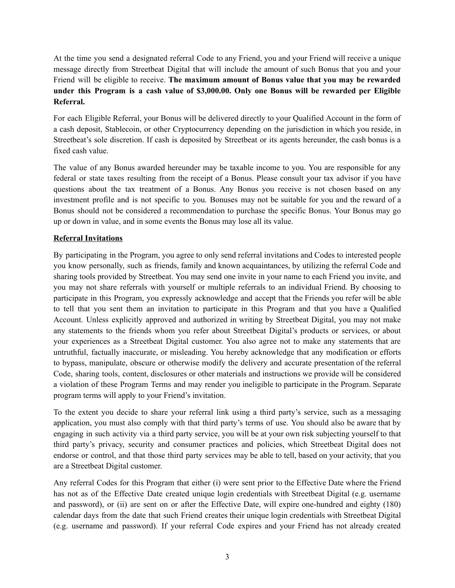At the time you send a designated referral Code to any Friend, you and your Friend will receive a unique message directly from Streetbeat Digital that will include the amount of such Bonus that you and your Friend will be eligible to receive. **The maximum amount of Bonus value that you may be rewarded under this Program is a cash value of \$3,000.00. Only one Bonus will be rewarded per Eligible Referral.**

For each Eligible Referral, your Bonus will be delivered directly to your Qualified Account in the form of a cash deposit, Stablecoin, or other Cryptocurrency depending on the jurisdiction in which you reside, in Streetbeat's sole discretion. If cash is deposited by Streetbeat or its agents hereunder, the cash bonus is a fixed cash value.

The value of any Bonus awarded hereunder may be taxable income to you. You are responsible for any federal or state taxes resulting from the receipt of a Bonus. Please consult your tax advisor if you have questions about the tax treatment of a Bonus. Any Bonus you receive is not chosen based on any investment profile and is not specific to you. Bonuses may not be suitable for you and the reward of a Bonus should not be considered a recommendation to purchase the specific Bonus. Your Bonus may go up or down in value, and in some events the Bonus may lose all its value.

## **Referral Invitations**

By participating in the Program, you agree to only send referral invitations and Codes to interested people you know personally, such as friends, family and known acquaintances, by utilizing the referral Code and sharing tools provided by Streetbeat. You may send one invite in your name to each Friend you invite, and you may not share referrals with yourself or multiple referrals to an individual Friend. By choosing to participate in this Program, you expressly acknowledge and accept that the Friends you refer will be able to tell that you sent them an invitation to participate in this Program and that you have a Qualified Account. Unless explicitly approved and authorized in writing by Streetbeat Digital, you may not make any statements to the friends whom you refer about Streetbeat Digital's products or services, or about your experiences as a Streetbeat Digital customer. You also agree not to make any statements that are untruthful, factually inaccurate, or misleading. You hereby acknowledge that any modification or efforts to bypass, manipulate, obscure or otherwise modify the delivery and accurate presentation of the referral Code, sharing tools, content, disclosures or other materials and instructions we provide will be considered a violation of these Program Terms and may render you ineligible to participate in the Program. Separate program terms will apply to your Friend's invitation.

To the extent you decide to share your referral link using a third party's service, such as a messaging application, you must also comply with that third party's terms of use. You should also be aware that by engaging in such activity via a third party service, you will be at your own risk subjecting yourself to that third party's privacy, security and consumer practices and policies, which Streetbeat Digital does not endorse or control, and that those third party services may be able to tell, based on your activity, that you are a Streetbeat Digital customer.

Any referral Codes for this Program that either (i) were sent prior to the Effective Date where the Friend has not as of the Effective Date created unique login credentials with Streetbeat Digital (e.g. username and password), or (ii) are sent on or after the Effective Date, will expire one-hundred and eighty (180) calendar days from the date that such Friend creates their unique login credentials with Streetbeat Digital (e.g. username and password). If your referral Code expires and your Friend has not already created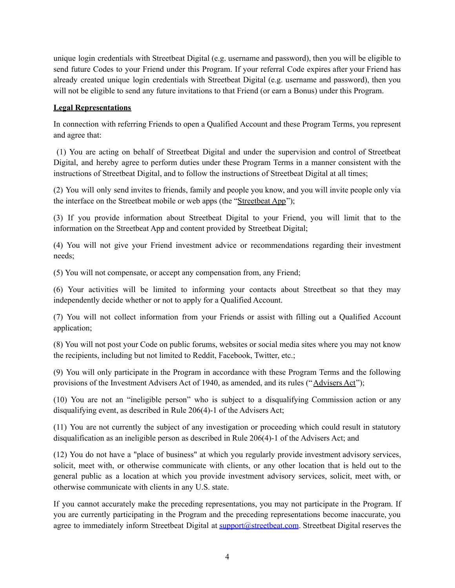unique login credentials with Streetbeat Digital (e.g. username and password), then you will be eligible to send future Codes to your Friend under this Program. If your referral Code expires after your Friend has already created unique login credentials with Streetbeat Digital (e.g. username and password), then you will not be eligible to send any future invitations to that Friend (or earn a Bonus) under this Program.

## **Legal Representations**

In connection with referring Friends to open a Qualified Account and these Program Terms, you represent and agree that:

(1) You are acting on behalf of Streetbeat Digital and under the supervision and control of Streetbeat Digital, and hereby agree to perform duties under these Program Terms in a manner consistent with the instructions of Streetbeat Digital, and to follow the instructions of Streetbeat Digital at all times;

(2) You will only send invites to friends, family and people you know, and you will invite people only via the interface on the Streetbeat mobile or web apps (the "Streetbeat App");

(3) If you provide information about Streetbeat Digital to your Friend, you will limit that to the information on the Streetbeat App and content provided by Streetbeat Digital;

(4) You will not give your Friend investment advice or recommendations regarding their investment needs;

(5) You will not compensate, or accept any compensation from, any Friend;

(6) Your activities will be limited to informing your contacts about Streetbeat so that they may independently decide whether or not to apply for a Qualified Account.

(7) You will not collect information from your Friends or assist with filling out a Qualified Account application;

(8) You will not post your Code on public forums, websites or social media sites where you may not know the recipients, including but not limited to Reddit, Facebook, Twitter, etc.;

(9) You will only participate in the Program in accordance with these Program Terms and the following provisions of the Investment Advisers Act of 1940, as amended, and its rules ("Advisers Act");

(10) You are not an "ineligible person" who is subject to a disqualifying Commission action or any disqualifying event, as described in Rule 206(4)-1 of the Advisers Act;

(11) You are not currently the subject of any investigation or proceeding which could result in statutory disqualification as an ineligible person as described in Rule 206(4)-1 of the Advisers Act; and

(12) You do not have a "place of business" at which you regularly provide investment advisory services, solicit, meet with, or otherwise communicate with clients, or any other location that is held out to the general public as a location at which you provide investment advisory services, solicit, meet with, or otherwise communicate with clients in any U.S. state.

If you cannot accurately make the preceding representations, you may not participate in the Program. If you are currently participating in the Program and the preceding representations become inaccurate, you agree to immediately inform Streetbeat Digital at [support@streetbeat.com](mailto:support@streetbeat.com). Streetbeat Digital reserves the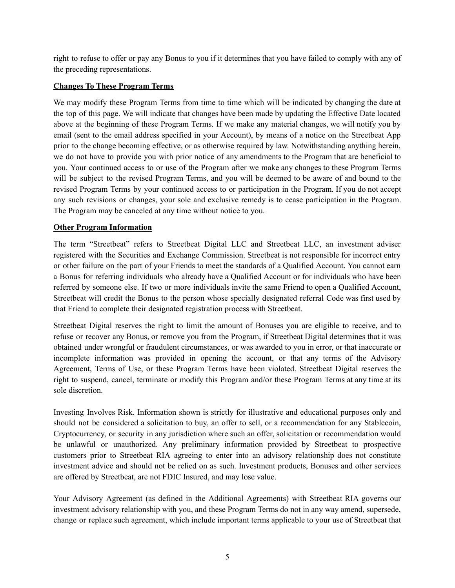right to refuse to offer or pay any Bonus to you if it determines that you have failed to comply with any of the preceding representations.

### **Changes To These Program Terms**

We may modify these Program Terms from time to time which will be indicated by changing the date at the top of this page. We will indicate that changes have been made by updating the Effective Date located above at the beginning of these Program Terms. If we make any material changes, we will notify you by email (sent to the email address specified in your Account), by means of a notice on the Streetbeat App prior to the change becoming effective, or as otherwise required by law. Notwithstanding anything herein, we do not have to provide you with prior notice of any amendments to the Program that are beneficial to you. Your continued access to or use of the Program after we make any changes to these Program Terms will be subject to the revised Program Terms, and you will be deemed to be aware of and bound to the revised Program Terms by your continued access to or participation in the Program. If you do not accept any such revisions or changes, your sole and exclusive remedy is to cease participation in the Program. The Program may be canceled at any time without notice to you.

### **Other Program Information**

The term "Streetbeat" refers to Streetbeat Digital LLC and Streetbeat LLC, an investment adviser registered with the Securities and Exchange Commission. Streetbeat is not responsible for incorrect entry or other failure on the part of your Friends to meet the standards of a Qualified Account. You cannot earn a Bonus for referring individuals who already have a Qualified Account or for individuals who have been referred by someone else. If two or more individuals invite the same Friend to open a Qualified Account, Streetbeat will credit the Bonus to the person whose specially designated referral Code was first used by that Friend to complete their designated registration process with Streetbeat.

Streetbeat Digital reserves the right to limit the amount of Bonuses you are eligible to receive, and to refuse or recover any Bonus, or remove you from the Program, if Streetbeat Digital determines that it was obtained under wrongful or fraudulent circumstances, or was awarded to you in error, or that inaccurate or incomplete information was provided in opening the account, or that any terms of the Advisory Agreement, Terms of Use, or these Program Terms have been violated. Streetbeat Digital reserves the right to suspend, cancel, terminate or modify this Program and/or these Program Terms at any time at its sole discretion.

Investing Involves Risk. Information shown is strictly for illustrative and educational purposes only and should not be considered a solicitation to buy, an offer to sell, or a recommendation for any Stablecoin, Cryptocurrency, or security in any jurisdiction where such an offer, solicitation or recommendation would be unlawful or unauthorized. Any preliminary information provided by Streetbeat to prospective customers prior to Streetbeat RIA agreeing to enter into an advisory relationship does not constitute investment advice and should not be relied on as such. Investment products, Bonuses and other services are offered by Streetbeat, are not FDIC Insured, and may lose value.

Your Advisory Agreement (as defined in the Additional Agreements) with Streetbeat RIA governs our investment advisory relationship with you, and these Program Terms do not in any way amend, supersede, change or replace such agreement, which include important terms applicable to your use of Streetbeat that